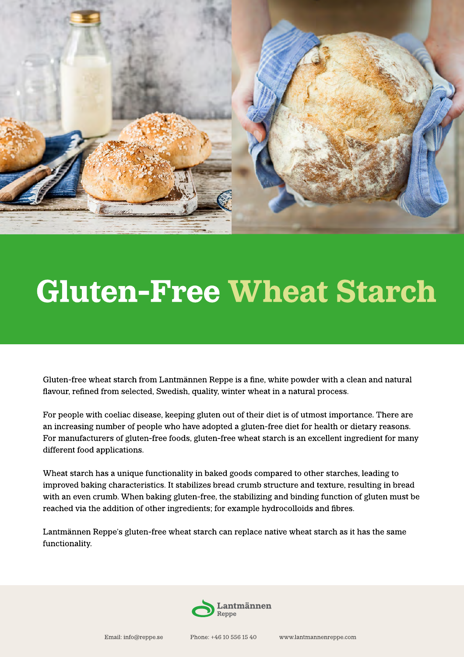

# Gluten-Free Wheat Starch

Gluten-free wheat starch from Lantmännen Reppe is a fine, white powder with a clean and natural flavour, refined from selected, Swedish, quality, winter wheat in a natural process.

For people with coeliac disease, keeping gluten out of their diet is of utmost importance. There are an increasing number of people who have adopted a gluten-free diet for health or dietary reasons. For manufacturers of gluten-free foods, gluten-free wheat starch is an excellent ingredient for many different food applications.

Wheat starch has a unique functionality in baked goods compared to other starches, leading to improved baking characteristics. It stabilizes bread crumb structure and texture, resulting in bread with an even crumb. When baking gluten-free, the stabilizing and binding function of gluten must be reached via the addition of other ingredients; for example hydrocolloids and fibres.

Lantmännen Reppe's gluten-free wheat starch can replace native wheat starch as it has the same functionality.